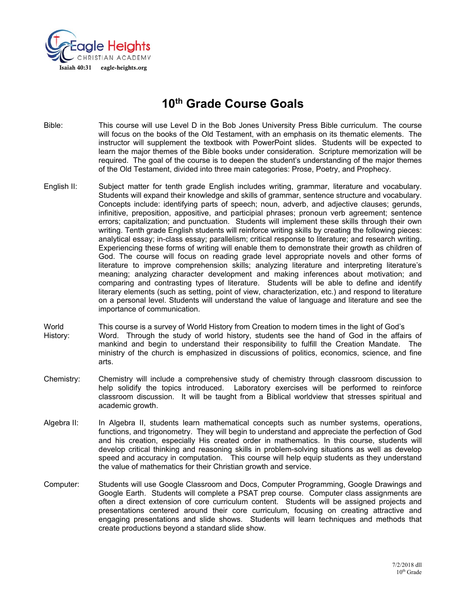

# **10th Grade Course Goals**

- Bible: This course will use Level D in the Bob Jones University Press Bible curriculum. The course will focus on the books of the Old Testament, with an emphasis on its thematic elements. The instructor will supplement the textbook with PowerPoint slides. Students will be expected to learn the major themes of the Bible books under consideration. Scripture memorization will be required. The goal of the course is to deepen the student's understanding of the major themes of the Old Testament, divided into three main categories: Prose, Poetry, and Prophecy.
- English II: Subject matter for tenth grade English includes writing, grammar, literature and vocabulary. Students will expand their knowledge and skills of grammar, sentence structure and vocabulary. Concepts include: identifying parts of speech; noun, adverb, and adjective clauses; gerunds, infinitive, preposition, appositive, and participial phrases; pronoun verb agreement; sentence errors; capitalization; and punctuation. Students will implement these skills through their own writing. Tenth grade English students will reinforce writing skills by creating the following pieces: analytical essay; in-class essay; parallelism; critical response to literature; and research writing. Experiencing these forms of writing will enable them to demonstrate their growth as children of God. The course will focus on reading grade level appropriate novels and other forms of literature to improve comprehension skills; analyzing literature and interpreting literature's meaning; analyzing character development and making inferences about motivation; and comparing and contrasting types of literature. Students will be able to define and identify literary elements (such as setting, point of view, characterization, etc.) and respond to literature on a personal level. Students will understand the value of language and literature and see the importance of communication.
- World This course is a survey of World History from Creation to modern times in the light of God's History: Word. Through the study of world history, students see the hand of God in the affairs of mankind and begin to understand their responsibility to fulfill the Creation Mandate. The ministry of the church is emphasized in discussions of politics, economics, science, and fine arts.
- Chemistry: Chemistry will include a comprehensive study of chemistry through classroom discussion to help solidify the topics introduced. Laboratory exercises will be performed to reinforce classroom discussion. It will be taught from a Biblical worldview that stresses spiritual and academic growth.
- Algebra II: In Algebra II, students learn mathematical concepts such as number systems, operations, functions, and trigonometry. They will begin to understand and appreciate the perfection of God and his creation, especially His created order in mathematics. In this course, students will develop critical thinking and reasoning skills in problem-solving situations as well as develop speed and accuracy in computation. This course will help equip students as they understand the value of mathematics for their Christian growth and service.
- Computer: Students will use Google Classroom and Docs, Computer Programming, Google Drawings and Google Earth. Students will complete a PSAT prep course. Computer class assignments are often a direct extension of core curriculum content. Students will be assigned projects and presentations centered around their core curriculum, focusing on creating attractive and engaging presentations and slide shows. Students will learn techniques and methods that create productions beyond a standard slide show.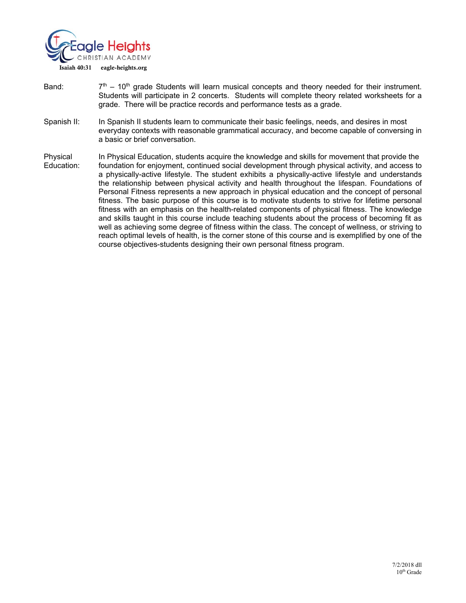

- Band:  $7<sup>th</sup> 10<sup>th</sup>$  grade Students will learn musical concepts and theory needed for their instrument. Students will participate in 2 concerts. Students will complete theory related worksheets for a grade. There will be practice records and performance tests as a grade.
- Spanish II: In Spanish II students learn to communicate their basic feelings, needs, and desires in most everyday contexts with reasonable grammatical accuracy, and become capable of conversing in a basic or brief conversation.
- Physical In Physical Education, students acquire the knowledge and skills for movement that provide the Education: foundation for enjoyment, continued social development through physical activity, and access to a physically-active lifestyle. The student exhibits a physically-active lifestyle and understands the relationship between physical activity and health throughout the lifespan. Foundations of Personal Fitness represents a new approach in physical education and the concept of personal fitness. The basic purpose of this course is to motivate students to strive for lifetime personal fitness with an emphasis on the health-related components of physical fitness. The knowledge and skills taught in this course include teaching students about the process of becoming fit as well as achieving some degree of fitness within the class. The concept of wellness, or striving to reach optimal levels of health, is the corner stone of this course and is exemplified by one of the course objectives-students designing their own personal fitness program.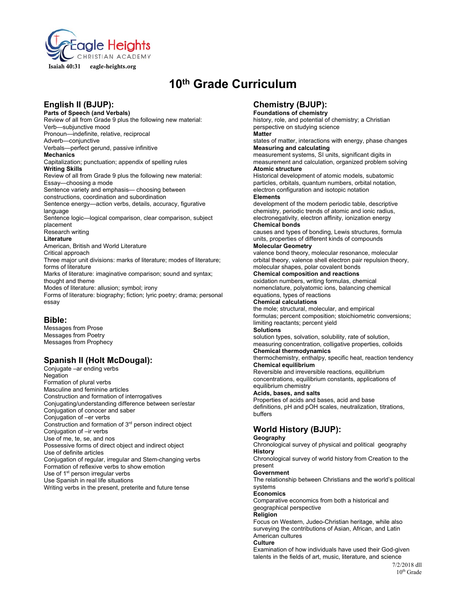

# **10th Grade Curriculum**

# **English II (BJUP):**

**Parts of Speech (and Verbals)**  Review of all from Grade 9 plus the following new material: Verb—subjunctive mood Pronoun—indefinite, relative, reciprocal Adverb—conjunctive Verbals—perfect gerund, passive infinitive **Mechanics**  Capitalization; punctuation; appendix of spelling rules **Writing Skills**  Review of all from Grade 9 plus the following new material: Essay—choosing a mode Sentence variety and emphasis— choosing between constructions, coordination and subordination Sentence energy—action verbs, details, accuracy, figurative language Sentence logic—logical comparison, clear comparison, subject placement Research writing **Literature**  American, British and World Literature Critical approach Three major unit divisions: marks of literature; modes of literature; forms of literature Marks of literature: imaginative comparison; sound and syntax; thought and theme Modes of literature: allusion; symbol; irony Forms of literature: biography; fiction; lyric poetry; drama; personal essay

## **Bible:**

Messages from Prose Messages from Poetry Messages from Prophecy

## **Spanish II (Holt McDougal):**

Conjugate –ar ending verbs **Negation** Formation of plural verbs Masculine and feminine articles Construction and formation of interrogatives Conjugating/understanding difference between ser/estar Conjugation of conocer and saber Conjugation of –er verbs Construction and formation of 3rd person indirect object Conjugation of –ir verbs Use of me, te, se, and nos Possessive forms of direct object and indirect object Use of definite articles Conjugation of regular, irregular and Stem-changing verbs Formation of reflexive verbs to show emotion Use of 1<sup>st</sup> person irregular verbs Use Spanish in real life situations Writing verbs in the present, preterite and future tense

## **Chemistry (BJUP):**

**Foundations of chemistry** history, role, and potential of chemistry; a Christian perspective on studying science

**Matter**

states of matter, interactions with energy, phase changes **Measuring and calculating**

measurement systems, SI units, significant digits in measurement and calculation, organized problem solving **Atomic structure**

Historical development of atomic models, subatomic particles, orbitals, quantum numbers, orbital notation, electron configuration and isotopic notation

#### **Elements**

development of the modern periodic table, descriptive chemistry, periodic trends of atomic and ionic radius, electronegativity, electron affinity, ionization energy **Chemical bonds** 

causes and types of bonding, Lewis structures, formula units, properties of different kinds of compounds **Molecular Geometry**

valence bond theory, molecular resonance, molecular orbital theory, valence shell electron pair repulsion theory, molecular shapes, polar covalent bonds

**Chemical composition and reactions** oxidation numbers, writing formulas, chemical

nomenclature, polyatomic ions, balancing chemical equations, types of reactions

#### **Chemical calculations**

the mole; structural, molecular, and empirical formulas; percent composition; stoichiometric conversions; limiting reactants; percent yield

#### **Solutions**

solution types, solvation, solubility, rate of solution, measuring concentration, colligative properties, colloids **Chemical thermodynamics**

thermochemistry, enthalpy, specific heat, reaction tendency **Chemical equilibrium**

Reversible and irreversible reactions, equilibrium concentrations, equilibrium constants, applications of equilibrium chemistry

#### **Acids, bases, and salts**

Properties of acids and bases, acid and base definitions, pH and pOH scales, neutralization, titrations, buffers

## **World History (BJUP):**

### **Geography**

Chronological survey of physical and political geography **History** 

Chronological survey of world history from Creation to the present

#### **Government**

The relationship between Christians and the world's political systems

#### **Economics**

Comparative economics from both a historical and geographical perspective

### **Religion**

Focus on Western, Judeo-Christian heritage, while also surveying the contributions of Asian, African, and Latin American cultures

#### **Culture**

Examination of how individuals have used their God-given talents in the fields of art, music, literature, and science